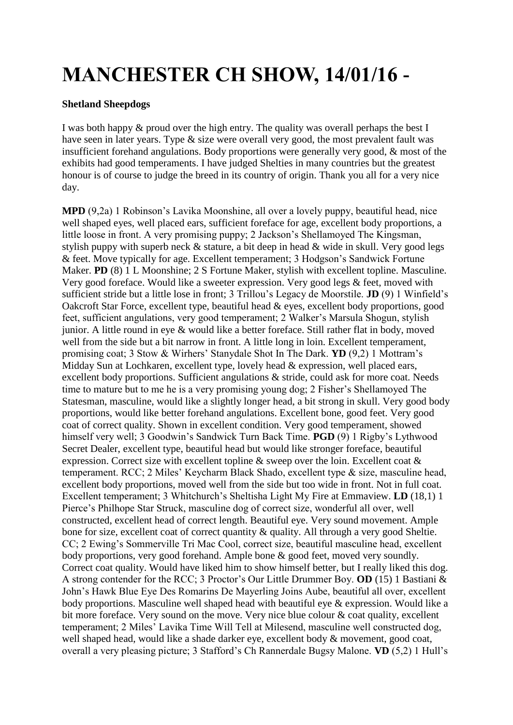## **MANCHESTER CH SHOW, 14/01/16 -**

## **Shetland Sheepdogs**

I was both happy & proud over the high entry. The quality was overall perhaps the best I have seen in later years. Type & size were overall very good, the most prevalent fault was insufficient forehand angulations. Body proportions were generally very good, & most of the exhibits had good temperaments. I have judged Shelties in many countries but the greatest honour is of course to judge the breed in its country of origin. Thank you all for a very nice day.

**MPD** (9,2a) 1 Robinson's Lavika Moonshine, all over a lovely puppy, beautiful head, nice well shaped eyes, well placed ears, sufficient foreface for age, excellent body proportions, a little loose in front. A very promising puppy; 2 Jackson's Shellamoyed The Kingsman, stylish puppy with superb neck & stature, a bit deep in head & wide in skull. Very good legs & feet. Move typically for age. Excellent temperament; 3 Hodgson's Sandwick Fortune Maker. **PD** (8) 1 L Moonshine; 2 S Fortune Maker, stylish with excellent topline. Masculine. Very good foreface. Would like a sweeter expression. Very good legs & feet, moved with sufficient stride but a little lose in front; 3 Trillou's Legacy de Moorstile. **JD** (9) 1 Winfield's Oakcroft Star Force, excellent type, beautiful head & eyes, excellent body proportions, good feet, sufficient angulations, very good temperament; 2 Walker's Marsula Shogun, stylish junior. A little round in eye & would like a better foreface. Still rather flat in body, moved well from the side but a bit narrow in front. A little long in loin. Excellent temperament, promising coat; 3 Stow & Wirhers' Stanydale Shot In The Dark. **YD** (9,2) 1 Mottram's Midday Sun at Lochkaren, excellent type, lovely head & expression, well placed ears, excellent body proportions. Sufficient angulations & stride, could ask for more coat. Needs time to mature but to me he is a very promising young dog; 2 Fisher's Shellamoyed The Statesman, masculine, would like a slightly longer head, a bit strong in skull. Very good body proportions, would like better forehand angulations. Excellent bone, good feet. Very good coat of correct quality. Shown in excellent condition. Very good temperament, showed himself very well; 3 Goodwin's Sandwick Turn Back Time. **PGD** (9) 1 Rigby's Lythwood Secret Dealer, excellent type, beautiful head but would like stronger foreface, beautiful expression. Correct size with excellent topline & sweep over the loin. Excellent coat & temperament. RCC; 2 Miles' Keycharm Black Shado, excellent type & size, masculine head, excellent body proportions, moved well from the side but too wide in front. Not in full coat. Excellent temperament; 3 Whitchurch's Sheltisha Light My Fire at Emmaview. **LD** (18,1) 1 Pierce's Philhope Star Struck, masculine dog of correct size, wonderful all over, well constructed, excellent head of correct length. Beautiful eye. Very sound movement. Ample bone for size, excellent coat of correct quantity & quality. All through a very good Sheltie. CC; 2 Ewing's Sommerville Tri Mac Cool, correct size, beautiful masculine head, excellent body proportions, very good forehand. Ample bone & good feet, moved very soundly. Correct coat quality. Would have liked him to show himself better, but I really liked this dog. A strong contender for the RCC; 3 Proctor's Our Little Drummer Boy. **OD** (15) 1 Bastiani & John's Hawk Blue Eye Des Romarins De Mayerling Joins Aube, beautiful all over, excellent body proportions. Masculine well shaped head with beautiful eye & expression. Would like a bit more foreface. Very sound on the move. Very nice blue colour & coat quality, excellent temperament; 2 Miles' Lavika Time Will Tell at Milesend, masculine well constructed dog, well shaped head, would like a shade darker eye, excellent body  $\&$  movement, good coat, overall a very pleasing picture; 3 Stafford's Ch Rannerdale Bugsy Malone. **VD** (5,2) 1 Hull's